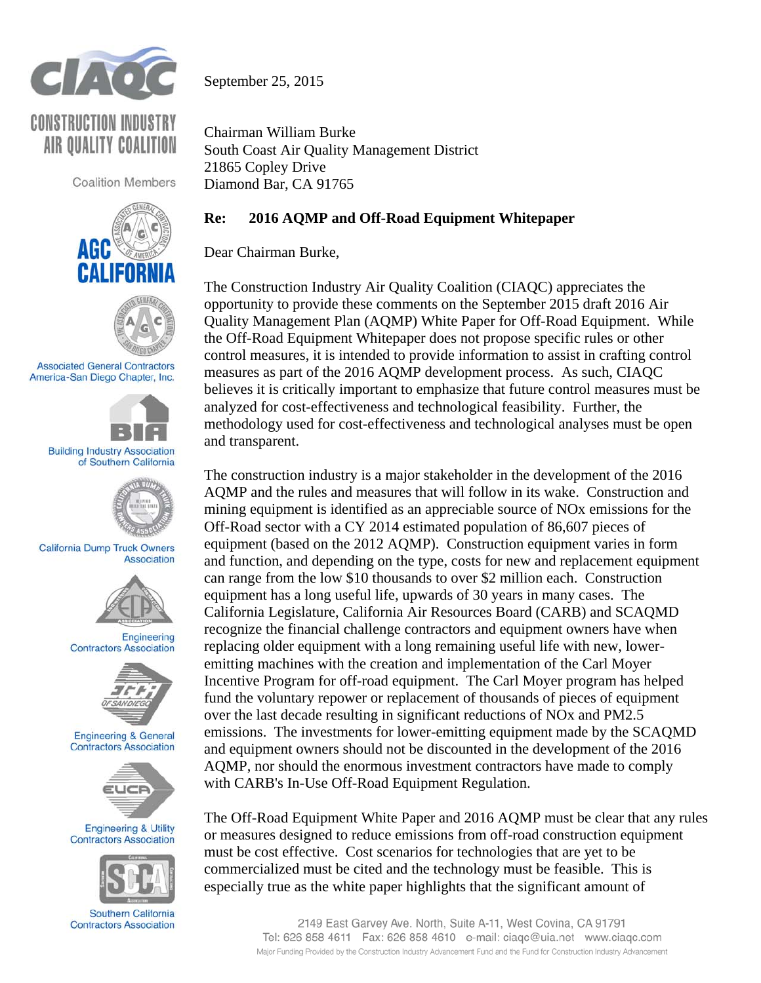

September 25, 2015

**CONSTRUCTION INDUSTRY** AIR OUALITY COALITION

**Coalition Members** 





**Associated General Contractors** America-San Diego Chapter, Inc.



**Building Industry Association** of Southern California



**California Dump Truck Owners** Association



Engineering **Contractors Association** 



**Engineering & General Contractors Association** 



**Engineering & Utility Contractors Association** 



Southern California **Contractors Association** 

Chairman William Burke South Coast Air Quality Management District 21865 Copley Drive Diamond Bar, CA 91765

## **Re: 2016 AQMP and Off-Road Equipment Whitepaper**

Dear Chairman Burke,

The Construction Industry Air Quality Coalition (CIAQC) appreciates the opportunity to provide these comments on the September 2015 draft 2016 Air Quality Management Plan (AQMP) White Paper for Off-Road Equipment. While the Off-Road Equipment Whitepaper does not propose specific rules or other control measures, it is intended to provide information to assist in crafting control measures as part of the 2016 AQMP development process. As such, CIAQC believes it is critically important to emphasize that future control measures must be analyzed for cost-effectiveness and technological feasibility. Further, the methodology used for cost-effectiveness and technological analyses must be open and transparent.

The construction industry is a major stakeholder in the development of the 2016 AQMP and the rules and measures that will follow in its wake. Construction and mining equipment is identified as an appreciable source of NOx emissions for the Off-Road sector with a CY 2014 estimated population of 86,607 pieces of equipment (based on the 2012 AQMP). Construction equipment varies in form and function, and depending on the type, costs for new and replacement equipment can range from the low \$10 thousands to over \$2 million each. Construction equipment has a long useful life, upwards of 30 years in many cases. The California Legislature, California Air Resources Board (CARB) and SCAQMD recognize the financial challenge contractors and equipment owners have when replacing older equipment with a long remaining useful life with new, loweremitting machines with the creation and implementation of the Carl Moyer Incentive Program for off-road equipment. The Carl Moyer program has helped fund the voluntary repower or replacement of thousands of pieces of equipment over the last decade resulting in significant reductions of NOx and PM2.5 emissions. The investments for lower-emitting equipment made by the SCAQMD and equipment owners should not be discounted in the development of the 2016 AQMP, nor should the enormous investment contractors have made to comply with CARB's In-Use Off-Road Equipment Regulation.

The Off-Road Equipment White Paper and 2016 AQMP must be clear that any rules or measures designed to reduce emissions from off-road construction equipment must be cost effective. Cost scenarios for technologies that are yet to be commercialized must be cited and the technology must be feasible. This is especially true as the white paper highlights that the significant amount of